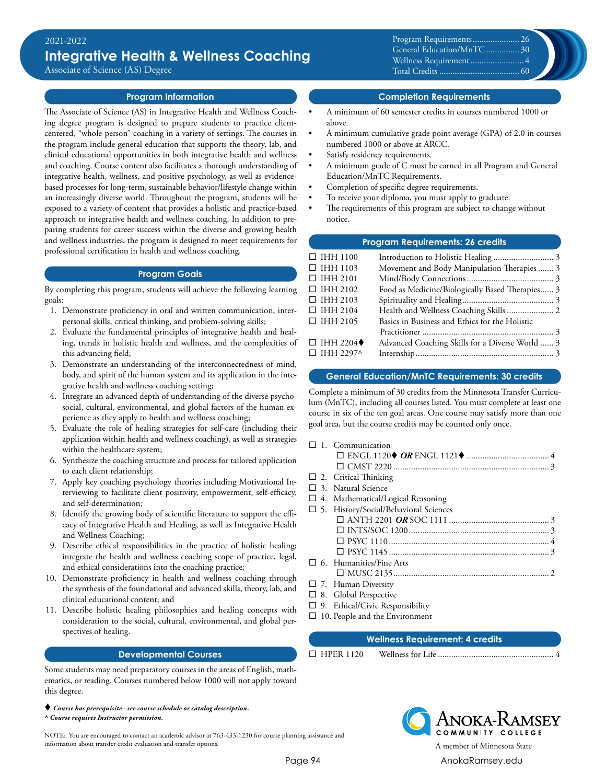Associate of Science (AS) Degree

# **Program Information**

The Associate of Science (AS) in Integrative Health and Wellness Coaching degree program is designed to prepare students to practice clientcentered, "whole-person" coaching in a variety of settings. The courses in the program include general education that supports the theory, lab, and clinical educational opportunities in both integrative health and wellness and coaching. Course content also facilitates a thorough understanding of integrative health, wellness, and positive psychology, as well as evidencebased processes for long-term, sustainable behavior/lifestyle change within an increasingly diverse world. Throughout the program, students will be exposed to a variety of content that provides a holistic and practice-based approach to integrative health and wellness coaching. In addition to preparing students for career success within the diverse and growing health and wellness industries, the program is designed to meet requirements for professional certification in health and wellness coaching.

# **Program Goals**

By completing this program, students will achieve the following learning goals:

- 1. Demonstrate proficiency in oral and written communication, interpersonal skills, critical thinking, and problem-solving skills;
- 2. Evaluate the fundamental principles of integrative health and healing, trends in holistic health and wellness, and the complexities of this advancing field;
- 3. Demonstrate an understanding of the interconnectedness of mind, body, and spirit of the human system and its application in the integrative health and wellness coaching setting;
- 4. Integrate an advanced depth of understanding of the diverse psychosocial, cultural, environmental, and global factors of the human experience as they apply to health and wellness coaching;
- 5. Evaluate the role of healing strategies for self-care (including their application within health and wellness coaching), as well as strategies within the healthcare system;
- 6. Synthesize the coaching structure and process for tailored application to each client relationship;
- 7. Apply key coaching psychology theories including Motivational Interviewing to facilitate client positivity, empowerment, self-efficacy, and self-determination;
- 8. Identify the growing body of scientific literature to support the efficacy of Integrative Health and Healing, as well as Integrative Health and Wellness Coaching;
- 9. Describe ethical responsibilities in the practice of holistic healing; integrate the health and wellness coaching scope of practice, legal, and ethical considerations into the coaching practice;
- 10. Demonstrate proficiency in health and wellness coaching through the synthesis of the foundational and advanced skills, theory, lab, and clinical educational content; and
- 11. Describe holistic healing philosophies and healing concepts with consideration to the social, cultural, environmental, and global perspectives of healing.

# **Developmental Courses**

Some students may need preparatory courses in the areas of English, mathematics, or reading. Courses numbered below 1000 will not apply toward this degree.

*Course has prerequisite - see course schedule or catalog description.*

*^ Course requires Instructor permission.*

NOTE: You are encouraged to contact an academic advisor at 763-433-1230 for course planning assistance and information about transfer credit evaluation and transfer options. A member of Minnesota State

Program Requirements........................ 26 General Education/MnTC.................30 Wellness Requirement .............................. 4 Total Credits ................................0 Credits..................................... 60

**Completion Requirements**

- A minimum of 60 semester credits in courses numbered 1000 or above.
- A minimum cumulative grade point average (GPA) of 2.0 in courses numbered 1000 or above at ARCC.
- Satisfy residency requirements.
- A minimum grade of C must be earned in all Program and General Education/MnTC Requirements.
- Completion of specific degree requirements.
- To receive your diploma, you must apply to graduate.
- The requirements of this program are subject to change without notice.

#### **Program Requirements: 26 credits**

| $\Box$ IHH 1100                 |                                                 |  |
|---------------------------------|-------------------------------------------------|--|
| $\Box$ IHH 1103                 | Movement and Body Manipulation Therapies 3      |  |
| $\Box$ IHH 2101                 |                                                 |  |
| $\Box$ IHH 2102                 | Food as Medicine/Biologically Based Therapies 3 |  |
| $\Box$ IHH 2103                 |                                                 |  |
| $\Box$ IHH 2104                 |                                                 |  |
| $\Box$ IHH 2105                 | Basics in Business and Ethics for the Holistic  |  |
|                                 |                                                 |  |
| $\Box$ IHH 2204 $\blacklozenge$ | Advanced Coaching Skills for a Diverse World  3 |  |
| $\Box$ IHH 2297^                |                                                 |  |
|                                 |                                                 |  |

#### **General Education/MnTC Requirements: 30 credits**

Complete a minimum of 30 credits from the Minnesota Transfer Curriculum (MnTC), including all courses listed. You must complete at least one course in six of the ten goal areas. One course may satisfy more than one goal area, but the course credits may be counted only once.

| $\Box$ 1. Communication                  |
|------------------------------------------|
|                                          |
|                                          |
| $\Box$ 2. Critical Thinking              |
| $\Box$ 3. Natural Science                |
| $\Box$ 4. Mathematical/Logical Reasoning |
| □ 5. History/Social/Behavioral Sciences  |
|                                          |
|                                          |
|                                          |
|                                          |
| $\Box$ 6. Humanities/Fine Arts           |
|                                          |
| $\Box$ 7. Human Diversity                |
| $\Box$ 8. Global Perspective             |
|                                          |

- $\square$  9. Ethical/Civic Responsibility
- $\square$  10. People and the Environment

# **Wellness Requirement: 4 credits**

¨ HPER 1120 Wellness for Life..................................................... 4